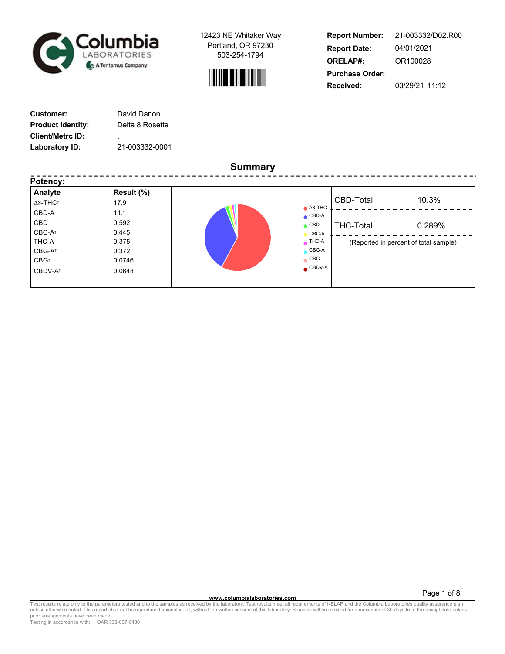



| <b>Report Number:</b>  | 21-003332/D02.R00 |
|------------------------|-------------------|
| <b>Report Date:</b>    | 04/01/2021        |
| <b>ORELAP#:</b>        | OR100028          |
| <b>Purchase Order:</b> |                   |
| Received:              | 03/29/21 11:12    |

----------------------------

| Customer:                | David Danon     |
|--------------------------|-----------------|
| <b>Product identity:</b> | Delta 8 Rosette |
| <b>Client/Metrc ID:</b>  | ٠               |
| Laboratory ID:           | 21-003332-0001  |

-------

**Summary**

| Analyte                     | Result (%) |                   |                  |                                       |
|-----------------------------|------------|-------------------|------------------|---------------------------------------|
| $\Delta$ 8-THC <sup>+</sup> | 17.9       | $\triangle$ 8-THC | CBD-Total        | 10.3%                                 |
| CBD-A                       | 11.1       | $\bullet$ CBD-A   |                  |                                       |
| CBD                         | 0.592      | $\bullet$ CBD     | <b>THC-Total</b> | 0.289%                                |
| CBC-At                      | 0.445      | CBC-A             |                  |                                       |
| THC-A                       | 0.375      | $\bullet$ THC-A   |                  | (Reported in percent of total sample) |
| CBG-At                      | 0.372      | $\bullet$ CBG-A   |                  |                                       |
| $CBG^+$                     | 0.0746     | $\bullet$ CBG     |                  |                                       |
| CBDV-A <sup>+</sup>         | 0.0648     | $\bullet$ CBDV-A  |                  |                                       |

 $- - - -$ 

----------------------------

**WWW.columbialaboratories.com**<br>unless otherwise noted. This report shall not be reproduced, except in full, without the written consent of this laboratory. Samples will be retained for a maximum of 30 days from the receipt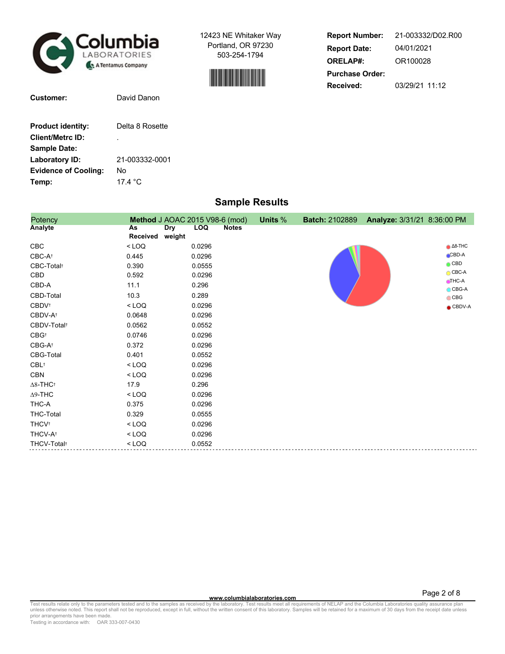

**Customer:** David Danon

**Product identity:** Delta 8 Rosette

21-003332-0001

No 17.4 °C

**Client/Metrc ID:** .

**Sample Date: Laboratory ID: Evidence of Cooling:**

**Temp:**

12423 NE Whitaker Way Portland, OR 97230 503-254-1794



| <b>Report Number:</b>  | 21-003332/D02.R00 |  |  |  |  |  |  |
|------------------------|-------------------|--|--|--|--|--|--|
| <b>Report Date:</b>    | 04/01/2021        |  |  |  |  |  |  |
| <b>ORELAP#:</b>        | OR100028          |  |  |  |  |  |  |
| <b>Purchase Order:</b> |                   |  |  |  |  |  |  |
| Received:              | 03/29/21 11:12    |  |  |  |  |  |  |

| <b>Sample Results</b> |  |
|-----------------------|--|
|-----------------------|--|

| Potency                     |                    | Method J AOAC 2015 V98-6 (mod) | Units % | <b>Batch: 2102889</b> | Analyze: 3/31/21 8:36:00 PM |                             |
|-----------------------------|--------------------|--------------------------------|---------|-----------------------|-----------------------------|-----------------------------|
| <b>Analyte</b>              | <b>Dry</b><br>As   | <b>LOQ</b><br><b>Notes</b>     |         |                       |                             |                             |
|                             | Received<br>weight |                                |         |                       |                             |                             |
| CBC                         | $<$ LOQ            | 0.0296                         |         |                       |                             | $\triangle$ 8-THC           |
| CBC-At                      | 0.445              | 0.0296                         |         |                       |                             | $CBD-A$                     |
| CBC-Total <sup>+</sup>      | 0.390              | 0.0555                         |         |                       |                             | $\bigcirc$ CBD              |
| CBD                         | 0.592              | 0.0296                         |         |                       |                             | $\bigcirc$ CBC-A            |
| CBD-A                       | 11.1               | 0.296                          |         |                       |                             | $THC-A$<br>$\bigcirc$ CBG-A |
| CBD-Total                   | 10.3               | 0.289                          |         |                       |                             | $\bigcirc$ CBG              |
| CBDV <sup>+</sup>           | $<$ LOQ            | 0.0296                         |         |                       |                             | $\bullet$ CBDV-A            |
| CBDV-A <sup>+</sup>         | 0.0648             | 0.0296                         |         |                       |                             |                             |
| CBDV-Total <sup>+</sup>     | 0.0562             | 0.0552                         |         |                       |                             |                             |
| $CBG^+$                     | 0.0746             | 0.0296                         |         |                       |                             |                             |
| $CBG-A^{\dagger}$           | 0.372              | 0.0296                         |         |                       |                             |                             |
| CBG-Total                   | 0.401              | 0.0552                         |         |                       |                             |                             |
| $CBL^+$                     | $<$ LOQ            | 0.0296                         |         |                       |                             |                             |
| CBN                         | $<$ LOQ            | 0.0296                         |         |                       |                             |                             |
| $\Delta$ 8-THC <sup>+</sup> | 17.9               | 0.296                          |         |                       |                             |                             |
| $\Delta$ 9-THC              | $<$ LOQ            | 0.0296                         |         |                       |                             |                             |
| THC-A                       | 0.375              | 0.0296                         |         |                       |                             |                             |
| <b>THC-Total</b>            | 0.329              | 0.0555                         |         |                       |                             |                             |
| <b>THCV<sup>t</sup></b>     | $<$ LOQ            | 0.0296                         |         |                       |                             |                             |
| THCV-A <sup>+</sup>         | $<$ LOQ            | 0.0296                         |         |                       |                             |                             |
| THCV-Total <sup>+</sup>     | $<$ LOQ            | 0.0552                         |         |                       |                             |                             |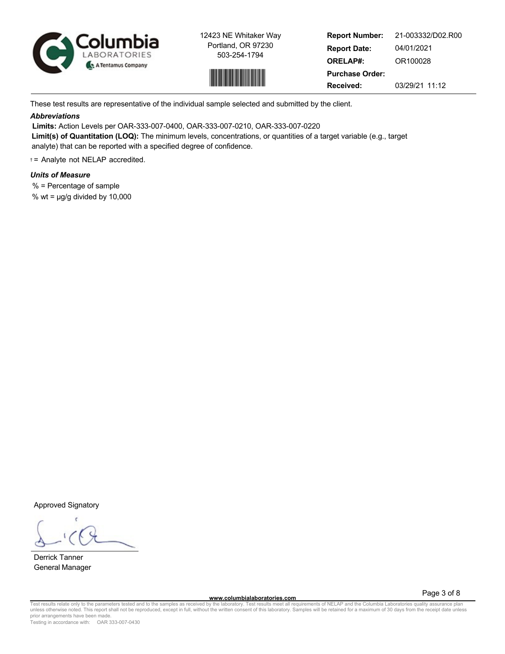



**Report Number: Report Date: ORELAP#: Purchase Order: Received:** 21-003332/D02.R00 04/01/2021 OR100028 03/29/21 11:12

These test results are representative of the individual sample selected and submitted by the client.

## *Abbreviations*

**Limits:** Action Levels per OAR-333-007-0400, OAR-333-007-0210, OAR-333-007-0220 **Limit(s) of Quantitation (LOQ):** The minimum levels, concentrations, or quantities of a target variable (e.g., target analyte) that can be reported with a specified degree of confidence.

† = Analyte not NELAP accredited.

# *Units of Measure*

% = Percentage of sample

% wt =  $\mu$ g/g divided by 10,000

Approved Signatory

Derrick Tanner General Manager

Page 3 of 8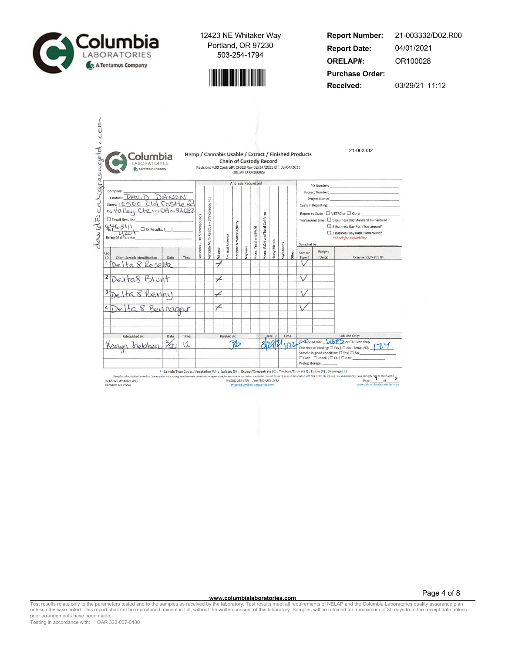



**Report Number: Report Date: ORELAP#: Purchase Order: Received:** 21-003332/D02.R00 04/01/2021 OR100028 03/29/21 11:12

| Ligres | Columbia<br>A Tentamus Company                                                                                                                           |      |      |                             |                                        | Revision: 4.00 Control#: CF023 Rev 02/24/2021 Eff: 03/04/2021 |                   | <b>Chain of Custody Record</b><br>ORELAP ID: OR100028 |                 |                       |                                  |              |            |        | Hemp / Cannabis Usable / Extract / Finished Products |                   |                                                                                                                                                                                                        |
|--------|----------------------------------------------------------------------------------------------------------------------------------------------------------|------|------|-----------------------------|----------------------------------------|---------------------------------------------------------------|-------------------|-------------------------------------------------------|-----------------|-----------------------|----------------------------------|--------------|------------|--------|------------------------------------------------------|-------------------|--------------------------------------------------------------------------------------------------------------------------------------------------------------------------------------------------------|
|        |                                                                                                                                                          |      |      |                             |                                        |                                                               |                   | Analysis Requested                                    |                 |                       |                                  |              |            |        |                                                      |                   | PO Number: New York (2010) 2010 12:00:00 12:00:00 12:00:00 12:00:00 12:00:00 12:00:00 12:00:00 12:00:00 12:00                                                                                          |
|        | Company:<br>Contact: DAVID DANON<br>Street: 10500 Old Castle Re<br>$\Box$ Email Results:<br>8.46541<br>$\Box$ Fx Results: ( )<br>Billing (if different): |      |      | esticides - OR 59 compounds | esticide Multi-Residue - 379 compounds |                                                               | lesidual Solvents | <b>Aoisture &amp; Water Activity</b>                  |                 | Vicro: Yeast and Mold | Vicro: E.Coli and Total Coliform |              |            |        | Sampled by:                                          | Custom Reporting: | Report to State - □ METRC or □ Other:<br>Turnaround time: □ 5 Business Day Standard Turnaround<br>3 Business Day Rush Turnaround*<br>2 Business Day Rush Turnaround*<br><i>*Check for availability</i> |
| Lab    |                                                                                                                                                          |      |      |                             |                                        | atency                                                        |                   |                                                       | <b>Terpenes</b> |                       |                                  | leavy Metals | Aycotoxins | Other: | Sample                                               | Weight            |                                                                                                                                                                                                        |
| ID     | Client Sample Identification<br>ta 8 Rosette                                                                                                             | Date | Time |                             |                                        |                                                               |                   |                                                       |                 |                       |                                  |              |            |        | Type                                                 | (Units)           | Comments/Metrc ID                                                                                                                                                                                      |
|        |                                                                                                                                                          |      |      |                             |                                        |                                                               |                   |                                                       |                 |                       |                                  |              |            |        |                                                      |                   |                                                                                                                                                                                                        |
|        | Delta8 Blunt                                                                                                                                             |      |      |                             |                                        |                                                               |                   |                                                       |                 |                       |                                  |              |            |        |                                                      |                   |                                                                                                                                                                                                        |
| 3-     |                                                                                                                                                          |      |      |                             |                                        |                                                               |                   |                                                       |                 |                       |                                  |              |            |        |                                                      |                   |                                                                                                                                                                                                        |
|        | Delta 8 Benny                                                                                                                                            |      |      |                             |                                        |                                                               |                   |                                                       |                 |                       |                                  |              |            |        |                                                      |                   |                                                                                                                                                                                                        |
| 4      | elta 8 Bennagar                                                                                                                                          |      |      |                             |                                        |                                                               |                   |                                                       |                 |                       |                                  |              |            |        |                                                      |                   |                                                                                                                                                                                                        |
|        |                                                                                                                                                          |      |      |                             |                                        |                                                               |                   |                                                       |                 |                       |                                  |              |            |        |                                                      |                   |                                                                                                                                                                                                        |
|        |                                                                                                                                                          |      |      |                             |                                        |                                                               |                   |                                                       |                 |                       |                                  |              |            |        |                                                      |                   |                                                                                                                                                                                                        |
|        | Relinquished By:                                                                                                                                         | Date | Time |                             |                                        |                                                               | Received By:      |                                                       |                 |                       |                                  | Date         |            | Time   |                                                      |                   | Lab Use Only:                                                                                                                                                                                          |
|        | Karyn<br>rebber                                                                                                                                          |      | 12   |                             |                                        |                                                               |                   | כסו                                                   |                 |                       |                                  |              |            |        |                                                      |                   | Shipped Via: <b>USPS</b> or <b>D</b> Client drop<br>Evidence of cooling: $\Box$ Yes   $\Box$ No - Temp (°C): $\Box$                                                                                    |

12423 NE Whitaker W<br>Portland, OR 97230

info@columbialaboratories.com

www.columbialaboratories.com

Page 4 of 8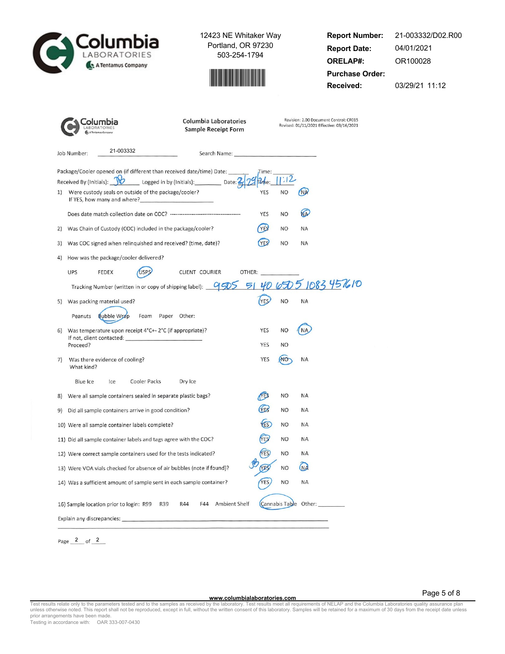Columbia A Tentamus Company

12423 NE Whitaker Way Portland, OR 97230 503-254-1794



**Report Number: Report Date: ORELAP#: Purchase Order: Received:** 21-003332/D02.R00 04/01/2021 OR100028 03/29/21 11:12

|                                                                                            | <b>Columbia Laboratories</b><br><b>Sample Receipt Form</b> |                          | Revision: 2.00 Document Control: CF015<br>Revised: 01/11/2021 Effective: 03/16/2021 |
|--------------------------------------------------------------------------------------------|------------------------------------------------------------|--------------------------|-------------------------------------------------------------------------------------|
| 21-003332<br>Job Number:                                                                   | Search Name: Electric Contract of the Search Name:         |                          |                                                                                     |
| Package/Cooler opened on (if different than received date/time) Date:                      |                                                            | Time:                    |                                                                                     |
| Received By (Initials): \\viesdam Logged in by (Initials): \\viesdam Date: 2               |                                                            |                          | 1:12                                                                                |
| Were custody seals on outside of the package/cooler?<br>1)<br>If YES, how many and where?  |                                                            | <b>YES</b><br><b>NO</b>  | (NA                                                                                 |
|                                                                                            |                                                            | YES<br><b>NO</b>         | <b>NA</b>                                                                           |
| 2) Was Chain of Custody (COC) included in the package/cooler?                              |                                                            | <b>YES</b><br><b>NO</b>  | <b>NA</b>                                                                           |
| 3) Was COC signed when relinquished and received? (time, date)?                            |                                                            | <b>YES</b><br><b>NO</b>  | <b>NA</b>                                                                           |
| 4) How was the package/cooler delivered?                                                   |                                                            |                          |                                                                                     |
| <b>UPS</b><br><b>FEDEX</b>                                                                 | CLIENT COURIER<br>OTHER:                                   |                          |                                                                                     |
| Tracking Number (written in or copy of shipping label): 955 51 40 650 5 1083 4576 10       |                                                            |                          |                                                                                     |
| 5) Was packing material used?                                                              |                                                            | <b>YES</b><br><b>NO</b>  | NA                                                                                  |
| Peanuts<br><b>Bubble Wrap</b><br>Foam Paper Other:                                         |                                                            |                          |                                                                                     |
| Was temperature upon receipt 4°C+-2°C (if appropriate)?<br>6)<br>If not, client contacted: |                                                            | YES<br><b>NO</b>         |                                                                                     |
| Proceed?                                                                                   |                                                            | YES<br><b>NO</b>         |                                                                                     |
| Was there evidence of cooling?<br>7)<br>What kind?                                         |                                                            | <b>YES</b><br><b>ATO</b> | <b>NA</b>                                                                           |
| Cooler Packs<br>Blue Ice<br>Ice                                                            | Dry Ice                                                    |                          |                                                                                     |
| 8) Were all sample containers sealed in separate plastic bags?                             |                                                            | <b>NES</b><br><b>NO</b>  | <b>NA</b>                                                                           |
| Did all sample containers arrive in good condition?<br>9)                                  |                                                            | <b>VES</b><br><b>NO</b>  | <b>NA</b>                                                                           |
| 10) Were all sample container labels complete?                                             |                                                            | (ES)<br><b>NO</b>        | NA                                                                                  |
| 11) Did all sample container labels and tags agree with the COC?                           |                                                            | YES<br><b>NO</b>         | NA                                                                                  |
| 12) Were correct sample containers used for the tests indicated?                           |                                                            | <b>YES</b><br><b>NO</b>  | ΝA                                                                                  |
| 13) Were VOA vials checked for absence of air bubbles (note if found)?                     |                                                            | <b>YES</b><br><b>NO</b>  | (NA                                                                                 |
| 14) Was a sufficient amount of sample sent in each sample container?                       |                                                            | <b>NO</b><br>YES         | <b>NA</b>                                                                           |
| 16) Sample location prior to login: R99<br>R39                                             | F44<br>Ambient Shelf<br>R44                                |                          | Cannabis Table Other:                                                               |
| Explain any discrepancies:                                                                 |                                                            |                          |                                                                                     |

Page  $2$  of  $2$ 

Page 5 of 8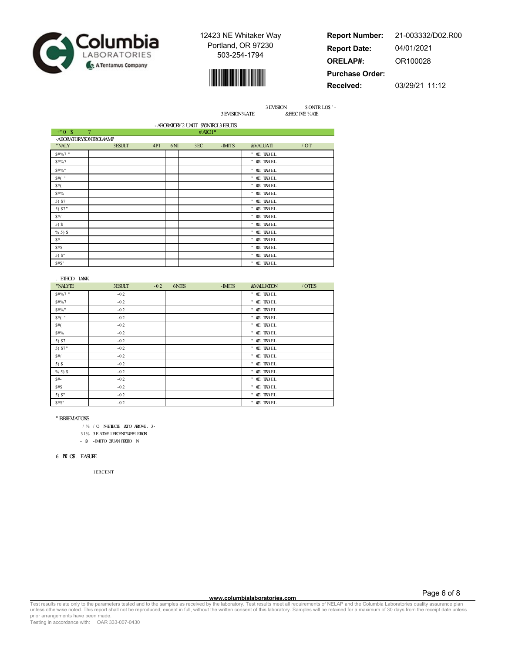



**Report Number: Report Date: ORELAP#: Purchase Order:** 21-003332/D02.R00 04/01/2021 OR100028

**Received:**

03/29/21 11:12

3 EVISION \$ ONTR LOS ' -3 EVISION%ATE &FFEC IVE %ATE

|           |                        |     |     |     | - ABORATORY 2 UAIIT SYNTROL3 ESUIS |                     |     |
|-----------|------------------------|-----|-----|-----|------------------------------------|---------------------|-----|
| $+^{n}0S$ | $\overline{7}$         |     |     |     | $#A\mathbb{I}H^*$                  |                     |     |
|           | -ABORATORY\$ONTROL4AMP |     |     |     |                                    |                     |     |
| "NALY     | 3ESULT                 | 4PI | 6NI | 3EC | -IMITS                             | <b>&amp;VALUATI</b> | /OT |
| \$#%7"    |                        |     |     |     |                                    | " Œ TABEL           |     |
| \$#%7     |                        |     |     |     |                                    | " <b>CE TRBEL</b>   |     |
| \$#%"     |                        |     |     |     |                                    | " <b>CE TRBEL</b>   |     |
| $$#($ "   |                        |     |     |     |                                    | " <b>CE TRBEL</b>   |     |
| \$#(      |                        |     |     |     |                                    | " <b>CE TRBEL</b>   |     |
| \$#%      |                        |     |     |     |                                    | " <b>CE TRBEL</b>   |     |
| 5) \$7    |                        |     |     |     |                                    | " <b>CE TRBEL</b>   |     |
| 5) \$7"   |                        |     |     |     |                                    | " <b>CE TRBEL</b>   |     |
| \$#/      |                        |     |     |     |                                    | " <b>CE TRBEL</b>   |     |
| $5)$ \$   |                        |     |     |     |                                    | " <b>CE TRBEL</b>   |     |
| $% 5)$ \$ |                        |     |     |     |                                    | " <b>CE TABEL</b>   |     |
| $$$ #-    |                        |     |     |     |                                    | " <b>CE TABEL</b>   |     |
| \$#S      |                        |     |     |     |                                    | " <b>CE TABEL</b>   |     |
| 5) $S''$  |                        |     |     |     |                                    | " <b>CE TABEL</b>   |     |
| \$#S"     |                        |     |     |     |                                    | " <b>CE TRBEL</b>   |     |

| . ETHOD LANK |        |        |       |        |                       |        |
|--------------|--------|--------|-------|--------|-----------------------|--------|
| "NALYTE      | 3ESULT | $-0.2$ | 6NITS | -IMITS | <b>&amp;VALUATION</b> | / OTES |
| \$#%7"       | $-0.2$ |        |       |        | " OE TABEL            |        |
| \$#%7        | $-02$  |        |       |        | " <b>Œ TABEL</b>      |        |
| \$#%"        | $-02$  |        |       |        | " <b>CE TRBEL</b>     |        |
| $$#($ "      | $-02$  |        |       |        | " <b>CE TRBEL</b>     |        |
| \$#(         | $-02$  |        |       |        | " Œ TABEL             |        |
| \$#%         | $-02$  |        |       |        | " <b>CE TRBEL</b>     |        |
| 5) \$7       | $-02$  |        |       |        | " <b>CE TRBEL</b>     |        |
| 5) \$7"      | $-02$  |        |       |        | " <b>CE TRBEL</b>     |        |
| \$#/         | $-02$  |        |       |        | " <b>CE TRBEL</b>     |        |
| $5)$ \$      | $-0.2$ |        |       |        | " <b>CE TRBEL</b>     |        |
| $% 5)$ \$    | $-0.2$ |        |       |        | " <b>Œ TRBEL</b>      |        |
| $$$ #-       | $-02$  |        |       |        | " <b>CE TRBEL</b>     |        |
| \$#          | $-02$  |        |       |        | " <b>CE TRBEL</b>     |        |
| $5)$ $$$ "   | $-0.2$ |        |       |        | " <b>CE TRBEL</b>     |        |
| \$#S"        | $-0.2$ |        |       |        | " OE TABEL            |        |

#### " BBREVIATONIS

/ % / O N%ETEECTE ADTO ARBOVE . 3-

 $31\%$   $3E$  ATAE 1 ERCENT%HHE ERCN

 $-$  0  $-$  IMITO 2FUAN ITATIO N

### 6 **N**T OF EASURE

1ERCENT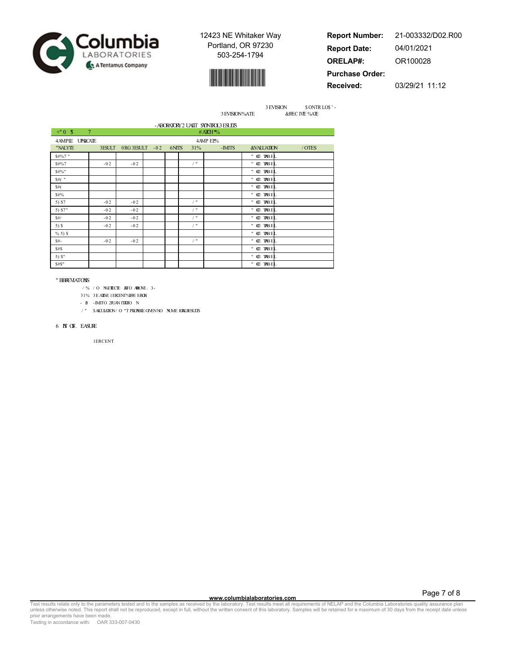



**Report Number: Report Date: ORELAP#: Purchase Order:** 21-003332/D02.R00 04/01/2021 OR100028

**Received:**

03/29/21 11:12

3 EVISION \$ ONTR LOS ' -3 EVISION%ATE &FFEC IVE %ATE

|            |                |                 |       |            | - ABORATORY 2 UAILT SYONTOL3 ESUITS |                       |        |
|------------|----------------|-----------------|-------|------------|-------------------------------------|-----------------------|--------|
| $+^{n}0S$  | $\overline{7}$ |                 |       |            | # $ATCH$ <sup>*</sup> %             |                       |        |
| 4AMPIE     | <b>UPHCATE</b> |                 |       |            | 4 AMP EL%                           |                       |        |
| "NALYTE    | 3ESULT         | ORG 3ESULT - 02 | 6NITS | 31%        | -IMITS                              | <b>&amp;VALUATION</b> | / OTES |
| \$#%7"     |                |                 |       |            |                                     | " Œ TABEL             |        |
| \$#%7      | $-02$          | $-0.2$          |       | $\prime$ " |                                     | " <b>CE TRBEL</b>     |        |
| \$#%"      |                |                 |       |            |                                     | " Œ TRBEL             |        |
| $$#($ "    |                |                 |       |            |                                     | " OE TABEL            |        |
| \$#(       |                |                 |       |            |                                     | " <b>CE TRBEL</b>     |        |
| \$#%       |                |                 |       |            |                                     | " Œ TABEL             |        |
| 5) \$7     | $-02$          | $-0.2$          |       | $/$ "      |                                     | " <b>Œ TABEL</b>      |        |
| 5) \$7"    | $-02$          | $-0.2$          |       | $/$ "      |                                     | " Œ TABEL             |        |
| \$#/       | $-02$          | $-0.2$          |       | $/$ "      |                                     | " <b>CE TABEL</b>     |        |
| $5)$ \$    | $-02$          | $-0.2$          |       | $/$ "      |                                     | " <b>CE TABEL</b>     |        |
| $% 5)$ \$  |                |                 |       |            |                                     | " <b>CE TRBEL</b>     |        |
| \$#        | $-02$          | $-0.2$          |       | $/$ "      |                                     | " <b>Œ TABE</b>       |        |
| \$#S       |                |                 |       |            |                                     | " <b>CE TRBEL</b>     |        |
| $5)$ $S''$ |                |                 |       |            |                                     | " <b>CE TABEL</b>     |        |
| \$#S"      |                |                 |       |            |                                     | " Œ TABEL             |        |

#### " BBREVIATONIS

- / % / O N%ETEECTE ADTO ARBOVE . 3-
- 31% 3E AILVE 1 ERCENT% THE ERCN
- $\,$  0  $\,$  -IMITO 2FUAN ITATIO  $\,$  N
- / " \$ALCULATION/ O "T PLICPABLE GIVENNO **N**UME ICRALRESULTS

#### $6$  **N**T OSF. EASURE

1ERCENT